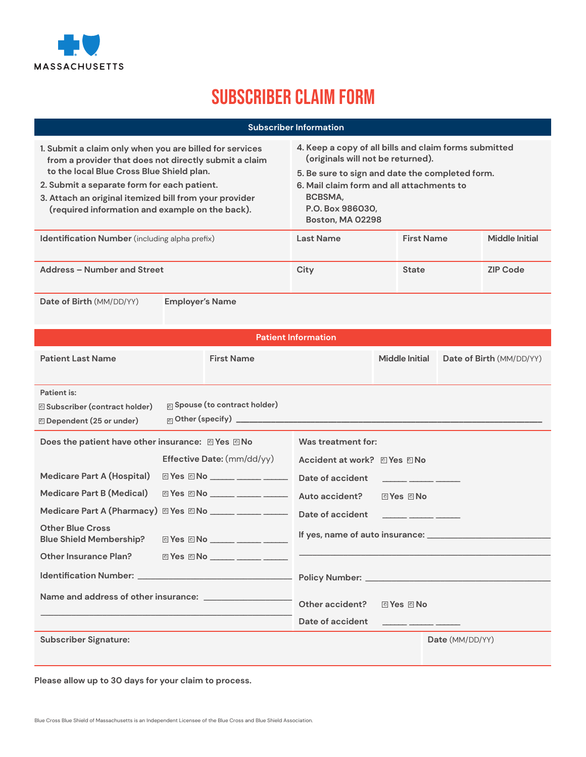

## Subscriber Claim Form

| <b>Subscriber Information</b>                                                                                                                                                                                                                                                                                             |                                                                                                                                                                                                                                                      |                   |                 |  |  |  |
|---------------------------------------------------------------------------------------------------------------------------------------------------------------------------------------------------------------------------------------------------------------------------------------------------------------------------|------------------------------------------------------------------------------------------------------------------------------------------------------------------------------------------------------------------------------------------------------|-------------------|-----------------|--|--|--|
| 1. Submit a claim only when you are billed for services<br>from a provider that does not directly submit a claim<br>to the local Blue Cross Blue Shield plan.<br>2. Submit a separate form for each patient.<br>3. Attach an original itemized bill from your provider<br>(required information and example on the back). | 4. Keep a copy of all bills and claim forms submitted<br>(originals will not be returned).<br>5. Be sure to sign and date the completed form.<br>6. Mail claim form and all attachments to<br>BCBSMA,<br>P.O. Box 986030.<br><b>Boston, MA 02298</b> |                   |                 |  |  |  |
| <b>Identification Number</b> (including alpha prefix)                                                                                                                                                                                                                                                                     | <b>Last Name</b>                                                                                                                                                                                                                                     | <b>First Name</b> | Middle Initial  |  |  |  |
| Address - Number and Street                                                                                                                                                                                                                                                                                               | City                                                                                                                                                                                                                                                 | <b>State</b>      | <b>ZIP Code</b> |  |  |  |
| Date of Birth (MM/DD/YY)<br><b>Employer's Name</b>                                                                                                                                                                                                                                                                        |                                                                                                                                                                                                                                                      |                   |                 |  |  |  |

| <b>Patient Information</b>                                |  |                                                           |                                 |                                                                                                                                                                                                                                      |                                                                                                                 |
|-----------------------------------------------------------|--|-----------------------------------------------------------|---------------------------------|--------------------------------------------------------------------------------------------------------------------------------------------------------------------------------------------------------------------------------------|-----------------------------------------------------------------------------------------------------------------|
| <b>Patient Last Name</b>                                  |  | <b>First Name</b>                                         |                                 | <b>Middle Initial</b>                                                                                                                                                                                                                | Date of Birth (MM/DD/YY)                                                                                        |
|                                                           |  |                                                           |                                 |                                                                                                                                                                                                                                      |                                                                                                                 |
| Patient is:                                               |  |                                                           |                                 |                                                                                                                                                                                                                                      |                                                                                                                 |
| <b>Subscriber (contract holder)</b>                       |  | <sub>□</sub> Spouse (to contract holder)                  |                                 |                                                                                                                                                                                                                                      |                                                                                                                 |
| © Dependent (25 or under)                                 |  |                                                           |                                 |                                                                                                                                                                                                                                      |                                                                                                                 |
| Does the patient have other insurance: 2 Yes 2 No         |  |                                                           | Was treatment for:              |                                                                                                                                                                                                                                      |                                                                                                                 |
|                                                           |  | <b>Effective Date:</b> (mm/dd/yy)                         | Accident at work? <b>Nes</b> No |                                                                                                                                                                                                                                      |                                                                                                                 |
| <b>Medicare Part A (Hospital)</b>                         |  |                                                           | Date of accident                | <u> 1989 - Alexandr Alexandr III (b. 19</u>                                                                                                                                                                                          |                                                                                                                 |
| Medicare Part B (Medical)                                 |  | © Yes © No _____ _____ _____                              | Auto accident?                  | 回Yes 回No                                                                                                                                                                                                                             |                                                                                                                 |
| Medicare Part A (Pharmacy) @ Yes @ No ______ _______      |  |                                                           | Date of accident                | <u> 1980 - Jan Alexandro Alexandro II</u>                                                                                                                                                                                            |                                                                                                                 |
| <b>Other Blue Cross</b><br><b>Blue Shield Membership?</b> |  | © Yes © No ______ _____ ______                            |                                 |                                                                                                                                                                                                                                      |                                                                                                                 |
| Other Insurance Plan?                                     |  | $\textcircled{}$ Yes $\textcircled{}$ No $\textcircled{}$ |                                 |                                                                                                                                                                                                                                      | and the control of the control of the control of the control of the control of the control of the control of th |
|                                                           |  |                                                           |                                 |                                                                                                                                                                                                                                      |                                                                                                                 |
|                                                           |  |                                                           | Other accident?                 | © Yes © No                                                                                                                                                                                                                           |                                                                                                                 |
|                                                           |  |                                                           | Date of accident                | <u> 1980 - Jan James James Jan James James Jan James James James James James James James James James James James James James James James James James James James James James James James James James James James James James Jam</u> |                                                                                                                 |
| <b>Subscriber Signature:</b>                              |  |                                                           |                                 |                                                                                                                                                                                                                                      | Date (MM/DD/YY)                                                                                                 |
|                                                           |  |                                                           |                                 |                                                                                                                                                                                                                                      |                                                                                                                 |

**Please allow up to 30 days for your claim to process.**